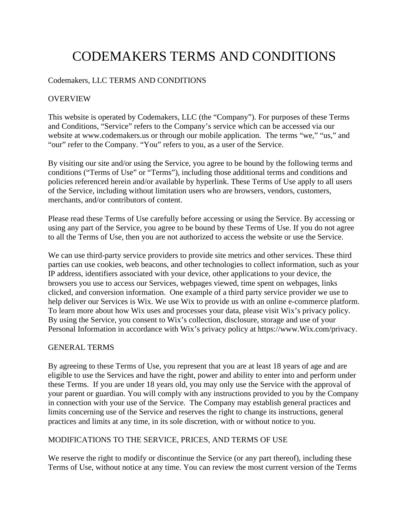# CODEMAKERS TERMS AND CONDITIONS

## Codemakers, LLC TERMS AND CONDITIONS

## OVERVIEW

This website is operated by Codemakers, LLC (the "Company"). For purposes of these Terms and Conditions, "Service" refers to the Company's service which can be accessed via our website at www.codemakers.us or through our mobile application. The terms "we," "us," and "our" refer to the Company. "You" refers to you, as a user of the Service.

By visiting our site and/or using the Service, you agree to be bound by the following terms and conditions ("Terms of Use" or "Terms"), including those additional terms and conditions and policies referenced herein and/or available by hyperlink. These Terms of Use apply to all users of the Service, including without limitation users who are browsers, vendors, customers, merchants, and/or contributors of content.

Please read these Terms of Use carefully before accessing or using the Service. By accessing or using any part of the Service, you agree to be bound by these Terms of Use. If you do not agree to all the Terms of Use, then you are not authorized to access the website or use the Service.

We can use third-party service providers to provide site metrics and other services. These third parties can use cookies, web beacons, and other technologies to collect information, such as your IP address, identifiers associated with your device, other applications to your device, the browsers you use to access our Services, webpages viewed, time spent on webpages, links clicked, and conversion information. One example of a third party service provider we use to help deliver our Services is Wix. We use Wix to provide us with an online e-commerce platform. To learn more about how Wix uses and processes your data, please visit Wix's privacy policy. By using the Service, you consent to Wix's collection, disclosure, storage and use of your Personal Information in accordance with Wix's privacy policy at https://www.Wix.com/privacy.

#### GENERAL TERMS

By agreeing to these Terms of Use, you represent that you are at least 18 years of age and are eligible to use the Services and have the right, power and ability to enter into and perform under these Terms. If you are under 18 years old, you may only use the Service with the approval of your parent or guardian. You will comply with any instructions provided to you by the Company in connection with your use of the Service. The Company may establish general practices and limits concerning use of the Service and reserves the right to change its instructions, general practices and limits at any time, in its sole discretion, with or without notice to you.

#### MODIFICATIONS TO THE SERVICE, PRICES, AND TERMS OF USE

We reserve the right to modify or discontinue the Service (or any part thereof), including these Terms of Use, without notice at any time. You can review the most current version of the Terms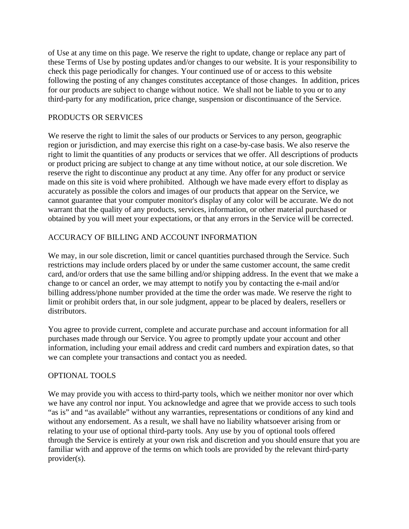of Use at any time on this page. We reserve the right to update, change or replace any part of these Terms of Use by posting updates and/or changes to our website. It is your responsibility to check this page periodically for changes. Your continued use of or access to this website following the posting of any changes constitutes acceptance of those changes. In addition, prices for our products are subject to change without notice. We shall not be liable to you or to any third-party for any modification, price change, suspension or discontinuance of the Service.

# PRODUCTS OR SERVICES

We reserve the right to limit the sales of our products or Services to any person, geographic region or jurisdiction, and may exercise this right on a case-by-case basis. We also reserve the right to limit the quantities of any products or services that we offer. All descriptions of products or product pricing are subject to change at any time without notice, at our sole discretion. We reserve the right to discontinue any product at any time. Any offer for any product or service made on this site is void where prohibited. Although we have made every effort to display as accurately as possible the colors and images of our products that appear on the Service, we cannot guarantee that your computer monitor's display of any color will be accurate. We do not warrant that the quality of any products, services, information, or other material purchased or obtained by you will meet your expectations, or that any errors in the Service will be corrected.

# ACCURACY OF BILLING AND ACCOUNT INFORMATION

We may, in our sole discretion, limit or cancel quantities purchased through the Service. Such restrictions may include orders placed by or under the same customer account, the same credit card, and/or orders that use the same billing and/or shipping address. In the event that we make a change to or cancel an order, we may attempt to notify you by contacting the e-mail and/or billing address/phone number provided at the time the order was made. We reserve the right to limit or prohibit orders that, in our sole judgment, appear to be placed by dealers, resellers or distributors.

You agree to provide current, complete and accurate purchase and account information for all purchases made through our Service. You agree to promptly update your account and other information, including your email address and credit card numbers and expiration dates, so that we can complete your transactions and contact you as needed.

# OPTIONAL TOOLS

We may provide you with access to third-party tools, which we neither monitor nor over which we have any control nor input. You acknowledge and agree that we provide access to such tools "as is" and "as available" without any warranties, representations or conditions of any kind and without any endorsement. As a result, we shall have no liability whatsoever arising from or relating to your use of optional third-party tools. Any use by you of optional tools offered through the Service is entirely at your own risk and discretion and you should ensure that you are familiar with and approve of the terms on which tools are provided by the relevant third-party provider(s).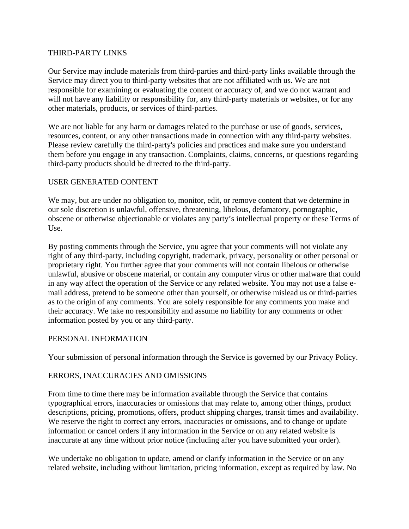#### THIRD-PARTY LINKS

Our Service may include materials from third-parties and third-party links available through the Service may direct you to third-party websites that are not affiliated with us. We are not responsible for examining or evaluating the content or accuracy of, and we do not warrant and will not have any liability or responsibility for, any third-party materials or websites, or for any other materials, products, or services of third-parties.

We are not liable for any harm or damages related to the purchase or use of goods, services, resources, content, or any other transactions made in connection with any third-party websites. Please review carefully the third-party's policies and practices and make sure you understand them before you engage in any transaction. Complaints, claims, concerns, or questions regarding third-party products should be directed to the third-party.

# USER GENERATED CONTENT

We may, but are under no obligation to, monitor, edit, or remove content that we determine in our sole discretion is unlawful, offensive, threatening, libelous, defamatory, pornographic, obscene or otherwise objectionable or violates any party's intellectual property or these Terms of Use.

By posting comments through the Service, you agree that your comments will not violate any right of any third-party, including copyright, trademark, privacy, personality or other personal or proprietary right. You further agree that your comments will not contain libelous or otherwise unlawful, abusive or obscene material, or contain any computer virus or other malware that could in any way affect the operation of the Service or any related website. You may not use a false email address, pretend to be someone other than yourself, or otherwise mislead us or third-parties as to the origin of any comments. You are solely responsible for any comments you make and their accuracy. We take no responsibility and assume no liability for any comments or other information posted by you or any third-party.

#### PERSONAL INFORMATION

Your submission of personal information through the Service is governed by our Privacy Policy.

#### ERRORS, INACCURACIES AND OMISSIONS

From time to time there may be information available through the Service that contains typographical errors, inaccuracies or omissions that may relate to, among other things, product descriptions, pricing, promotions, offers, product shipping charges, transit times and availability. We reserve the right to correct any errors, inaccuracies or omissions, and to change or update information or cancel orders if any information in the Service or on any related website is inaccurate at any time without prior notice (including after you have submitted your order).

We undertake no obligation to update, amend or clarify information in the Service or on any related website, including without limitation, pricing information, except as required by law. No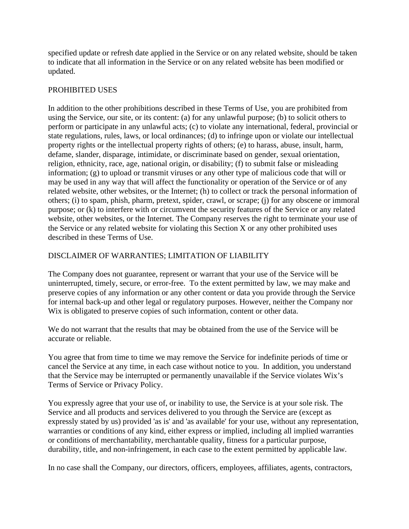specified update or refresh date applied in the Service or on any related website, should be taken to indicate that all information in the Service or on any related website has been modified or updated.

# PROHIBITED USES

In addition to the other prohibitions described in these Terms of Use, you are prohibited from using the Service, our site, or its content: (a) for any unlawful purpose; (b) to solicit others to perform or participate in any unlawful acts; (c) to violate any international, federal, provincial or state regulations, rules, laws, or local ordinances; (d) to infringe upon or violate our intellectual property rights or the intellectual property rights of others; (e) to harass, abuse, insult, harm, defame, slander, disparage, intimidate, or discriminate based on gender, sexual orientation, religion, ethnicity, race, age, national origin, or disability; (f) to submit false or misleading information; (g) to upload or transmit viruses or any other type of malicious code that will or may be used in any way that will affect the functionality or operation of the Service or of any related website, other websites, or the Internet; (h) to collect or track the personal information of others; (i) to spam, phish, pharm, pretext, spider, crawl, or scrape; (j) for any obscene or immoral purpose; or (k) to interfere with or circumvent the security features of the Service or any related website, other websites, or the Internet. The Company reserves the right to terminate your use of the Service or any related website for violating this Section X or any other prohibited uses described in these Terms of Use.

# DISCLAIMER OF WARRANTIES; LIMITATION OF LIABILITY

The Company does not guarantee, represent or warrant that your use of the Service will be uninterrupted, timely, secure, or error-free. To the extent permitted by law, we may make and preserve copies of any information or any other content or data you provide through the Service for internal back-up and other legal or regulatory purposes. However, neither the Company nor Wix is obligated to preserve copies of such information, content or other data.

We do not warrant that the results that may be obtained from the use of the Service will be accurate or reliable.

You agree that from time to time we may remove the Service for indefinite periods of time or cancel the Service at any time, in each case without notice to you. In addition, you understand that the Service may be interrupted or permanently unavailable if the Service violates Wix's Terms of Service or Privacy Policy.

You expressly agree that your use of, or inability to use, the Service is at your sole risk. The Service and all products and services delivered to you through the Service are (except as expressly stated by us) provided 'as is' and 'as available' for your use, without any representation, warranties or conditions of any kind, either express or implied, including all implied warranties or conditions of merchantability, merchantable quality, fitness for a particular purpose, durability, title, and non-infringement, in each case to the extent permitted by applicable law.

In no case shall the Company, our directors, officers, employees, affiliates, agents, contractors,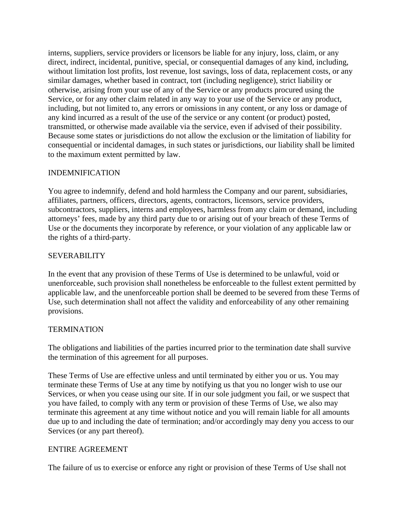interns, suppliers, service providers or licensors be liable for any injury, loss, claim, or any direct, indirect, incidental, punitive, special, or consequential damages of any kind, including, without limitation lost profits, lost revenue, lost savings, loss of data, replacement costs, or any similar damages, whether based in contract, tort (including negligence), strict liability or otherwise, arising from your use of any of the Service or any products procured using the Service, or for any other claim related in any way to your use of the Service or any product, including, but not limited to, any errors or omissions in any content, or any loss or damage of any kind incurred as a result of the use of the service or any content (or product) posted, transmitted, or otherwise made available via the service, even if advised of their possibility. Because some states or jurisdictions do not allow the exclusion or the limitation of liability for consequential or incidental damages, in such states or jurisdictions, our liability shall be limited to the maximum extent permitted by law.

## INDEMNIFICATION

You agree to indemnify, defend and hold harmless the Company and our parent, subsidiaries, affiliates, partners, officers, directors, agents, contractors, licensors, service providers, subcontractors, suppliers, interns and employees, harmless from any claim or demand, including attorneys' fees, made by any third party due to or arising out of your breach of these Terms of Use or the documents they incorporate by reference, or your violation of any applicable law or the rights of a third-party.

## SEVERABILITY

In the event that any provision of these Terms of Use is determined to be unlawful, void or unenforceable, such provision shall nonetheless be enforceable to the fullest extent permitted by applicable law, and the unenforceable portion shall be deemed to be severed from these Terms of Use, such determination shall not affect the validity and enforceability of any other remaining provisions.

#### **TERMINATION**

The obligations and liabilities of the parties incurred prior to the termination date shall survive the termination of this agreement for all purposes.

These Terms of Use are effective unless and until terminated by either you or us. You may terminate these Terms of Use at any time by notifying us that you no longer wish to use our Services, or when you cease using our site. If in our sole judgment you fail, or we suspect that you have failed, to comply with any term or provision of these Terms of Use, we also may terminate this agreement at any time without notice and you will remain liable for all amounts due up to and including the date of termination; and/or accordingly may deny you access to our Services (or any part thereof).

#### ENTIRE AGREEMENT

The failure of us to exercise or enforce any right or provision of these Terms of Use shall not